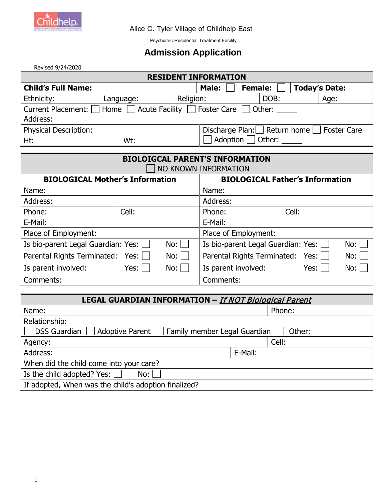

Psychiatric Residential Treatment Facility

# **Admission Application**

| Revised 9/24/2020                                                                |                             |           |                                |                       |                      |  |  |
|----------------------------------------------------------------------------------|-----------------------------|-----------|--------------------------------|-----------------------|----------------------|--|--|
|                                                                                  | <b>RESIDENT INFORMATION</b> |           |                                |                       |                      |  |  |
| <b>Child's Full Name:</b>                                                        |                             |           | Male:<br><b>Female:</b>        |                       | <b>Today's Date:</b> |  |  |
| Ethnicity:                                                                       | Language:                   | Religion: |                                | DOB:                  | Age:                 |  |  |
| Current Placement:                                                               | $\vert$ Home $\vert$        |           | Acute Facility     Foster Care | $\blacksquare$ Other: |                      |  |  |
| Address:                                                                         |                             |           |                                |                       |                      |  |  |
| <b>Physical Description:</b>                                                     |                             |           | Discharge Plan:   Return home  |                       | <b>Foster Care</b>   |  |  |
| Ht:                                                                              | Wt:                         |           | Adoption [                     | $\Box$ Other: $\Box$  |                      |  |  |
|                                                                                  |                             |           |                                |                       |                      |  |  |
| <b>BIOLOIGCAL PARENT'S INFORMATION</b>                                           |                             |           |                                |                       |                      |  |  |
| NO KNOWN INFORMATION                                                             |                             |           |                                |                       |                      |  |  |
| <b>BIOLOGICAL Mother's Information</b><br><b>BIOLOGICAL Father's Information</b> |                             |           |                                |                       |                      |  |  |

| <b>BIOLOGICAL Mother's Information</b> |        | <b>BIOLOGICAL Father's Information</b> |                                    |       |       |
|----------------------------------------|--------|----------------------------------------|------------------------------------|-------|-------|
| Name:                                  |        |                                        | Name:                              |       |       |
| Address:                               |        |                                        | Address:                           |       |       |
| Phone:                                 | Cell:  |                                        | Phone:                             | Cell: |       |
| E-Mail:                                |        |                                        | E-Mail:                            |       |       |
| Place of Employment:                   |        |                                        | Place of Employment:               |       |       |
| Is bio-parent Legal Guardian: Yes:     |        | No:                                    | Is bio-parent Legal Guardian: Yes: |       | No: I |
| Parental Rights Terminated: Yes:       |        | No:                                    | Parental Rights Terminated: Yes:   |       | No:   |
| Is parent involved:                    | Yes: l | No:                                    | Is parent involved:                | Yes:  | No:   |
| Comments:                              |        |                                        | Comments:                          |       |       |

| LEGAL GUARDIAN INFORMATION - If NOT Biological Parent                      |         |  |  |  |
|----------------------------------------------------------------------------|---------|--|--|--|
| Name:                                                                      | Phone:  |  |  |  |
| Relationship:                                                              |         |  |  |  |
| DSS Guardian  <br>Adoptive Parent   Family member Legal Guardian<br>Other: |         |  |  |  |
| Agency:                                                                    | Cell:   |  |  |  |
| Address:                                                                   | E-Mail: |  |  |  |
| When did the child come into your care?                                    |         |  |  |  |
| Is the child adopted? Yes:<br>No:                                          |         |  |  |  |
| If adopted, When was the child's adoption finalized?                       |         |  |  |  |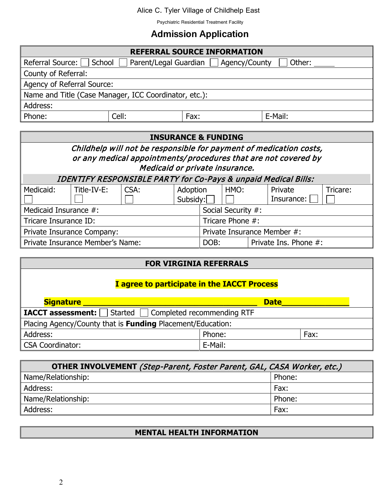Psychiatric Residential Treatment Facility

## **Admission Application**

| <b>REFERRAL SOURCE INFORMATION</b>                    |                       |               |         |  |  |
|-------------------------------------------------------|-----------------------|---------------|---------|--|--|
| Referral Source:     School                           | Parent/Legal Guardian | Agency/County | Other:  |  |  |
| County of Referral:                                   |                       |               |         |  |  |
| Agency of Referral Source:                            |                       |               |         |  |  |
| Name and Title (Case Manager, ICC Coordinator, etc.): |                       |               |         |  |  |
| Address:                                              |                       |               |         |  |  |
| Phone:                                                | Cell:                 | Fax:          | E-Mail: |  |  |

| <b>INSURANCE &amp; FUNDING</b>                                                                                                                                         |                                           |      |          |                  |                    |         |                       |  |
|------------------------------------------------------------------------------------------------------------------------------------------------------------------------|-------------------------------------------|------|----------|------------------|--------------------|---------|-----------------------|--|
| Childhelp will not be responsible for payment of medication costs,<br>or any medical appointments/procedures that are not covered by<br>Medicaid or private insurance. |                                           |      |          |                  |                    |         |                       |  |
| <b>IDENTIFY RESPONSIBLE PARTY for Co-Pays &amp; unpaid Medical Bills:</b>                                                                                              |                                           |      |          |                  |                    |         |                       |  |
| Medicaid:                                                                                                                                                              | Title-IV-E:                               | CSA: |          | Adoption<br>HMO: |                    | Private | Tricare:              |  |
|                                                                                                                                                                        |                                           |      | Subsidy: |                  |                    |         | Insurance:            |  |
| Medicaid Insurance #:                                                                                                                                                  |                                           |      |          |                  | Social Security #: |         |                       |  |
|                                                                                                                                                                        | Tricare Phone #:<br>Tricare Insurance ID: |      |          |                  |                    |         |                       |  |
| Private Insurance Member #:<br>Private Insurance Company:                                                                                                              |                                           |      |          |                  |                    |         |                       |  |
|                                                                                                                                                                        | Private Insurance Member's Name:          |      |          | DOB:             |                    |         | Private Ins. Phone #: |  |

| <b>FOR VIRGINIA REFERRALS</b>                                    |                                                            |      |  |  |  |
|------------------------------------------------------------------|------------------------------------------------------------|------|--|--|--|
| I agree to participate in the IACCT Process                      |                                                            |      |  |  |  |
| <b>Signature</b>                                                 | <b>Date</b>                                                |      |  |  |  |
| <b>IACCT assessment:</b><br>Started   Completed recommending RTF |                                                            |      |  |  |  |
|                                                                  | Placing Agency/County that is Funding Placement/Education: |      |  |  |  |
| Address:                                                         | Phone:                                                     | Fax: |  |  |  |
| <b>CSA Coordinator:</b>                                          | E-Mail:                                                    |      |  |  |  |

| <b>OTHER INVOLVEMENT</b> (Step-Parent, Foster Parent, GAL, CASA Worker, etc.) |        |  |  |  |
|-------------------------------------------------------------------------------|--------|--|--|--|
| Name/Relationship:                                                            | Phone: |  |  |  |
| Address:                                                                      | Fax:   |  |  |  |
| Name/Relationship:                                                            | Phone: |  |  |  |
| Address:                                                                      | Fax:   |  |  |  |

## **MENTAL HEALTH INFORMATION**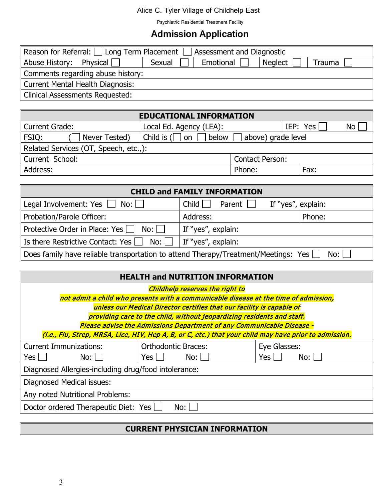Psychiatric Residential Treatment Facility

## **Admission Application**

| Reason for Referral: Long Term Placement<br>Assessment and Diagnostic |                                   |           |         |       |  |
|-----------------------------------------------------------------------|-----------------------------------|-----------|---------|-------|--|
| Physical    <br>Abuse History:                                        | Sexual                            | Emotional | Neglect | rauma |  |
|                                                                       | Comments regarding abuse history: |           |         |       |  |
| <b>Current Mental Health Diagnosis:</b>                               |                                   |           |         |       |  |
| <b>Clinical Assessments Requested:</b>                                |                                   |           |         |       |  |

| <b>EDUCATIONAL INFORMATION</b>            |                                                        |        |      |  |  |  |
|-------------------------------------------|--------------------------------------------------------|--------|------|--|--|--|
| Current Grade:                            | IEP: Yes<br>Local Ed. Agency (LEA):<br>No              |        |      |  |  |  |
| FSIQ:<br>Never Tested)                    | Child is $(\Box)$<br>above) grade level<br>below<br>on |        |      |  |  |  |
|                                           | Related Services (OT, Speech, etc.,):                  |        |      |  |  |  |
| Current School:<br><b>Contact Person:</b> |                                                        |        |      |  |  |  |
| Address:                                  |                                                        | Phone: | Fax: |  |  |  |

| <b>CHILD and FAMILY INFORMATION</b>                                                                                |                                       |        |  |  |  |
|--------------------------------------------------------------------------------------------------------------------|---------------------------------------|--------|--|--|--|
| Legal Involvement: Yes $\Box$ No: $\Box$                                                                           | Child<br>If "yes", explain:<br>Parent |        |  |  |  |
| Probation/Parole Officer:                                                                                          | Address:                              | Phone: |  |  |  |
| Protective Order in Place: Yes<br>$No:$ $\vert \ \vert$                                                            | If "yes", explain:                    |        |  |  |  |
| Is there Restrictive Contact: Yes $\Box$ No: $\Box$<br>If "yes", explain:                                          |                                       |        |  |  |  |
| Does family have reliable transportation to attend Therapy/Treatment/Meetings: Yes $\Box$<br>$No:$ $\vert$ $\vert$ |                                       |        |  |  |  |

| <b>HEALTH and NUTRITION INFORMATION</b>              |                                                                                                        |              |  |  |  |
|------------------------------------------------------|--------------------------------------------------------------------------------------------------------|--------------|--|--|--|
|                                                      | <b>Childhelp reserves the right to</b>                                                                 |              |  |  |  |
|                                                      | not admit a child who presents with a communicable disease at the time of admission,                   |              |  |  |  |
|                                                      | unless our Medical Director certifies that our facility is capable of                                  |              |  |  |  |
|                                                      | providing care to the child, without jeopardizing residents and staff.                                 |              |  |  |  |
|                                                      | Please advise the Admissions Department of any Communicable Disease -                                  |              |  |  |  |
|                                                      | (i.e., Flu, Strep, MRSA, Lice, HIV, Hep A, B, or C, etc.) that your child may have prior to admission. |              |  |  |  |
| <b>Current Immunizations:</b>                        | <b>Orthodontic Braces:</b>                                                                             | Eye Glasses: |  |  |  |
| No:<br>Yes l                                         | No: I<br>Yes l                                                                                         | Yes l<br>No: |  |  |  |
| Diagnosed Allergies-including drug/food intolerance: |                                                                                                        |              |  |  |  |
| Diagnosed Medical issues:                            |                                                                                                        |              |  |  |  |
| Any noted Nutritional Problems:                      |                                                                                                        |              |  |  |  |
| Doctor ordered Therapeutic Diet: Yes<br>No:          |                                                                                                        |              |  |  |  |
|                                                      |                                                                                                        |              |  |  |  |

#### **CURRENT PHYSICIAN INFORMATION**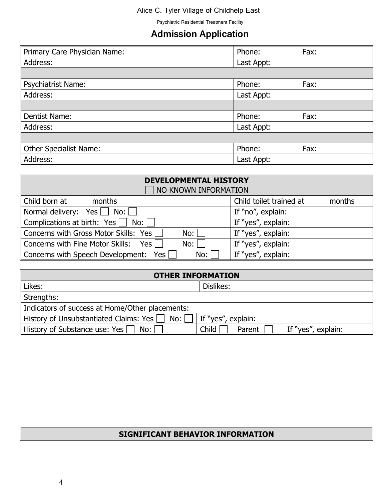Psychiatric Residential Treatment Facility

## **Admission Application**

| Primary Care Physician Name:  | Phone:     | Fax: |  |
|-------------------------------|------------|------|--|
| Address:                      | Last Appt: |      |  |
|                               |            |      |  |
| <b>Psychiatrist Name:</b>     | Phone:     | Fax: |  |
| Address:                      | Last Appt: |      |  |
|                               |            |      |  |
| Dentist Name:                 | Phone:     | Fax: |  |
| Address:                      | Last Appt: |      |  |
|                               |            |      |  |
| <b>Other Specialist Name:</b> | Phone:     | Fax: |  |
| Address:                      | Last Appt: |      |  |

| <b>DEVELOPMENTAL HISTORY</b><br>NO KNOWN INFORMATION |                                   |  |  |
|------------------------------------------------------|-----------------------------------|--|--|
| Child born at<br>months                              | Child toilet trained at<br>months |  |  |
| Normal delivery: Yes<br>No:                          | If "no", explain:                 |  |  |
| Complications at birth: Yes $\Box$<br>No: I          | If "yes", explain:                |  |  |
| Concerns with Gross Motor Skills: Yes<br>No:         | If "yes", explain:                |  |  |
| Concerns with Fine Motor Skills:<br>No: I<br>Yes l   | If "yes", explain:                |  |  |
| Concerns with Speech Development: Yes<br>No:         | If "yes", explain:                |  |  |

| <b>OTHER INFORMATION</b>                                 |                                              |  |  |  |
|----------------------------------------------------------|----------------------------------------------|--|--|--|
| Likes:                                                   | Dislikes:                                    |  |  |  |
| Strengths:                                               |                                              |  |  |  |
| Indicators of success at Home/Other placements:          |                                              |  |  |  |
| History of Unsubstantiated Claims: Yes $\Box$ No: $\Box$ | If "yes", explain:                           |  |  |  |
| History of Substance use: Yes<br>l No:l                  | <b>Child</b><br>If "yes", explain:<br>Parent |  |  |  |

#### **SIGNIFICANT BEHAVIOR INFORMATION**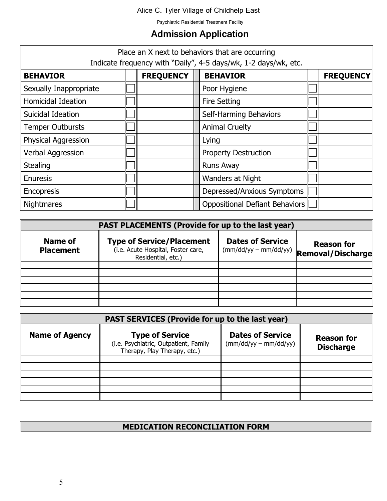Psychiatric Residential Treatment Facility

## **Admission Application**

| Place an X next to behaviors that are occurring<br>Indicate frequency with "Daily", 4-5 days/wk, 1-2 days/wk, etc. |  |                  |                                       |                  |
|--------------------------------------------------------------------------------------------------------------------|--|------------------|---------------------------------------|------------------|
| <b>BEHAVIOR</b>                                                                                                    |  | <b>FREQUENCY</b> | <b>BEHAVIOR</b>                       | <b>FREQUENCY</b> |
| Sexually Inappropriate                                                                                             |  |                  | Poor Hygiene                          |                  |
| <b>Homicidal Ideation</b>                                                                                          |  |                  | <b>Fire Setting</b>                   |                  |
| Suicidal Ideation                                                                                                  |  |                  | Self-Harming Behaviors                |                  |
| <b>Temper Outbursts</b>                                                                                            |  |                  | <b>Animal Cruelty</b>                 |                  |
| Physical Aggression                                                                                                |  |                  | Lying                                 |                  |
| Verbal Aggression                                                                                                  |  |                  | <b>Property Destruction</b>           |                  |
| <b>Stealing</b>                                                                                                    |  |                  | <b>Runs Away</b>                      |                  |
| <b>Enuresis</b>                                                                                                    |  |                  | <b>Wanders at Night</b>               |                  |
| Encopresis                                                                                                         |  |                  | Depressed/Anxious Symptoms            |                  |
| Nightmares                                                                                                         |  |                  | <b>Oppositional Defiant Behaviors</b> |                  |

| <b>PAST PLACEMENTS (Provide for up to the last year)</b> |                                                                                              |                         |                                                                     |
|----------------------------------------------------------|----------------------------------------------------------------------------------------------|-------------------------|---------------------------------------------------------------------|
| Name of<br><b>Placement</b>                              | <b>Type of Service/Placement</b><br>(i.e. Acute Hospital, Foster care,<br>Residential, etc.) | <b>Dates of Service</b> | <b>Reason for</b><br>(mm/dd/yy – mm/dd/yy) <b>Removal/Discharge</b> |
|                                                          |                                                                                              |                         |                                                                     |
|                                                          |                                                                                              |                         |                                                                     |
|                                                          |                                                                                              |                         |                                                                     |
|                                                          |                                                                                              |                         |                                                                     |
|                                                          |                                                                                              |                         |                                                                     |
|                                                          |                                                                                              |                         |                                                                     |

| <b>PAST SERVICES (Provide for up to the last year)</b> |                                                                                                 |                                                    |                                       |
|--------------------------------------------------------|-------------------------------------------------------------------------------------------------|----------------------------------------------------|---------------------------------------|
| <b>Name of Agency</b>                                  | <b>Type of Service</b><br>(i.e. Psychiatric, Outpatient, Family<br>Therapy, Play Therapy, etc.) | <b>Dates of Service</b><br>$(mm/dd/yy - mm/dd/yy)$ | <b>Reason for</b><br><b>Discharge</b> |
|                                                        |                                                                                                 |                                                    |                                       |
|                                                        |                                                                                                 |                                                    |                                       |
|                                                        |                                                                                                 |                                                    |                                       |
|                                                        |                                                                                                 |                                                    |                                       |
|                                                        |                                                                                                 |                                                    |                                       |
|                                                        |                                                                                                 |                                                    |                                       |

### **MEDICATION RECONCILIATION FORM**